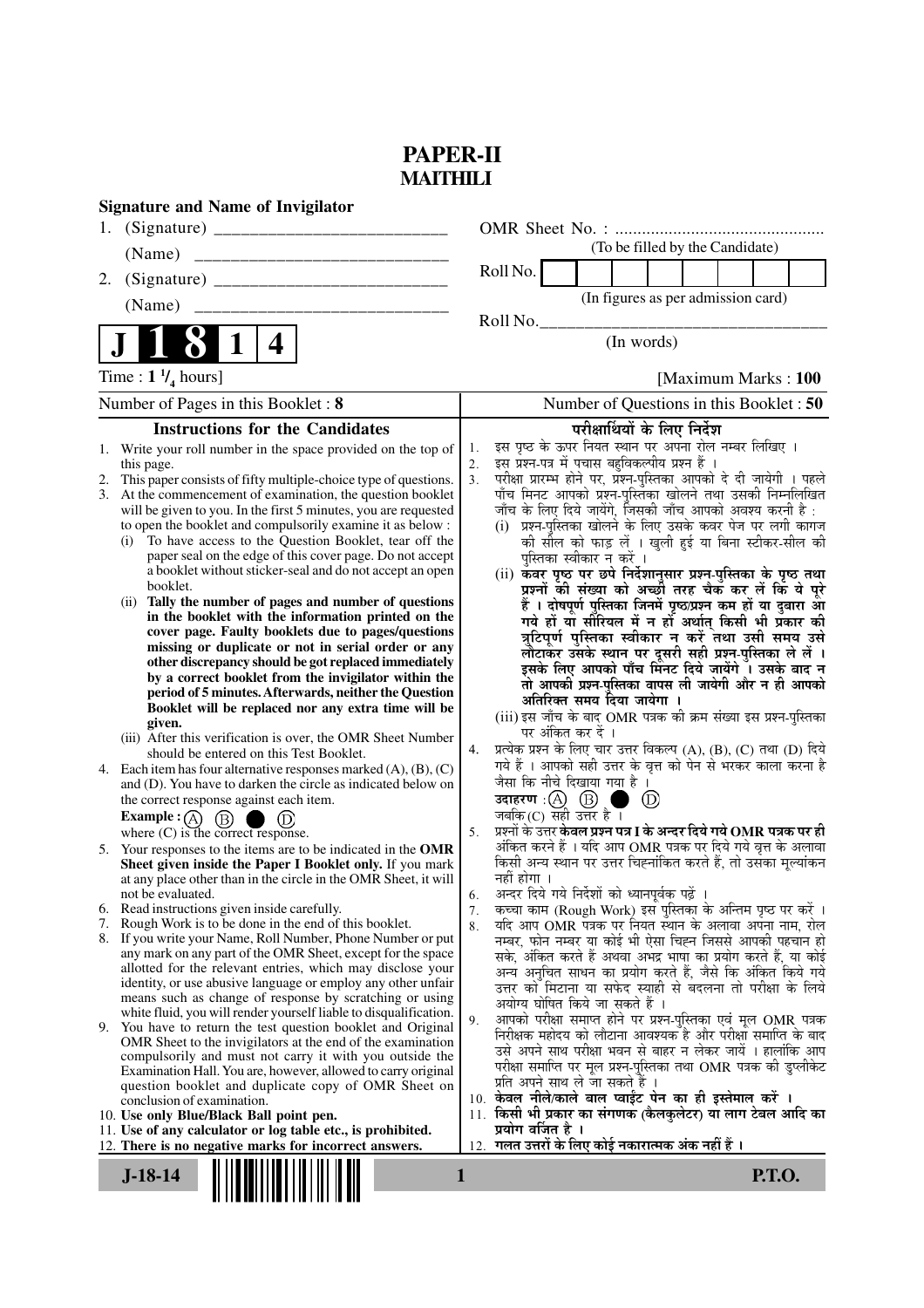## **PAPER-II MAITHILI**

|    | <b>Signature and Name of Invigilator</b>                                                                                    |                      |                                                                                                                                               |
|----|-----------------------------------------------------------------------------------------------------------------------------|----------------------|-----------------------------------------------------------------------------------------------------------------------------------------------|
|    |                                                                                                                             |                      |                                                                                                                                               |
|    | (Name)                                                                                                                      |                      | (To be filled by the Candidate)                                                                                                               |
| 2. |                                                                                                                             |                      | Roll No.                                                                                                                                      |
|    | (Name)                                                                                                                      |                      | (In figures as per admission card)                                                                                                            |
|    |                                                                                                                             |                      | Roll No.                                                                                                                                      |
|    | 1<br>4                                                                                                                      |                      | (In words)                                                                                                                                    |
|    | Time : $1 \frac{1}{4}$ hours]                                                                                               |                      | [Maximum Marks: 100]                                                                                                                          |
|    | Number of Pages in this Booklet: 8                                                                                          |                      | Number of Questions in this Booklet: 50                                                                                                       |
|    | <b>Instructions for the Candidates</b>                                                                                      |                      | परीक्षार्थियों के लिए निर्देश                                                                                                                 |
| 1. | Write your roll number in the space provided on the top of                                                                  | 1.                   | इस पृष्ठ के ऊपर नियत स्थान पर अपना रोल नम्बर लिखिए ।                                                                                          |
| 2. | this page.<br>This paper consists of fifty multiple-choice type of questions.                                               | 2.<br>3 <sub>1</sub> | इस प्रश्न-पत्र में पचास बहुविकल्पीय प्रश्न हैं ।<br>परीक्षा प्रारम्भ होने पर, प्रश्न-पुस्तिका आपको दे दी जायेगी । पहले                        |
| 3. | At the commencement of examination, the question booklet                                                                    |                      | पाँच मिनट आपको प्रश्न-पुस्तिका खोलने तथा उसकी निम्नलिखित                                                                                      |
|    | will be given to you. In the first 5 minutes, you are requested                                                             |                      | जाँच के लिए दिये जायेंगे, जिसकी जाँच आपको अवश्य करनी है :                                                                                     |
|    | to open the booklet and compulsorily examine it as below :                                                                  |                      | (i) प्रश्न-पुस्तिका खोलने के लिए उसके कवर पेज पर लगी कागज                                                                                     |
|    | To have access to the Question Booklet, tear off the<br>(i)<br>paper seal on the edge of this cover page. Do not accept     |                      | की सील को फाड़ लें । खुली हुई या बिना स्टीकर-सील की                                                                                           |
|    | a booklet without sticker-seal and do not accept an open                                                                    |                      | पुस्तिका स्वीकार न करें ।<br>(ii) कवर पृष्ठ पर छपे निर्देशानुसार प्रश्न-पुस्तिका के पृष्ठ तथा                                                 |
|    | booklet.                                                                                                                    |                      | प्रश्नों की संख्या को अच्छी तरह चैक कर लें कि ये पूरे                                                                                         |
|    | (ii) Tally the number of pages and number of questions                                                                      |                      | हैं । दोषपूर्ण पुस्तिका जिनमें पृष्ठ/प्रश्न कम हों या दुबारा आ                                                                                |
|    | in the booklet with the information printed on the<br>cover page. Faulty booklets due to pages/questions                    |                      | गये हों या सीरियल में न हों अर्थात् किसी भी प्रकार की                                                                                         |
|    | missing or duplicate or not in serial order or any                                                                          |                      | त्रुटिपूर्ण पुस्तिका स्वीकार न करें तथा उसी समय उसे                                                                                           |
|    | other discrepancy should be got replaced immediately                                                                        |                      | लौटाकर उसके स्थान पर दूसरी सही प्रश्न-पुस्तिका ले लें ।<br>इसके लिए आपको पाँच मिनट दिये जायेंगे । उसके बाद न                                  |
|    | by a correct booklet from the invigilator within the                                                                        |                      | तो आपकी प्रश्न-पुस्तिका वापस ली जायेगी और न ही आपको                                                                                           |
|    | period of 5 minutes. Afterwards, neither the Question<br>Booklet will be replaced nor any extra time will be                |                      | अतिरिक्त समय दिया जायेगा ।                                                                                                                    |
|    | given.                                                                                                                      |                      | (iii) इस जाँच के बाद OMR पत्रक की क्रम संख्या इस प्रश्न-पुस्तिका                                                                              |
|    | (iii) After this verification is over, the OMR Sheet Number                                                                 | 4.                   | पर अंकित कर दें ।<br>प्रत्येक प्रश्न के लिए चार उत्तर विकल्प (A), (B), (C) तथा (D) दिये                                                       |
|    | should be entered on this Test Booklet.<br>4. Each item has four alternative responses marked $(A)$ , $(B)$ , $(C)$         |                      | गये हैं । आपको सही उत्तर के वृत्त को पेन से भरकर काला करना है                                                                                 |
|    | and (D). You have to darken the circle as indicated below on                                                                |                      | जैसा कि नीचे दिखाया गया है ।                                                                                                                  |
|    | the correct response against each item.                                                                                     |                      | उदाहरण: $\textcircled{A}$ $\textcircled{B}$<br>$\left( D\right)$                                                                              |
|    | <b>Example</b> : (A) $(B)$<br>(D)                                                                                           |                      | जबकि $(C)$ सही उत्तर है ।                                                                                                                     |
|    | where (C) is the correct response.                                                                                          | 5.                   | प्रश्नों के उत्तर <b>केवल प्रश्न पत्र I के अन्दर दिये गये OMR पत्रक पर ही</b><br>अंकित करने हैं । यदि आप OMR पत्रक पर दिये गये वृत्त के अलावा |
|    | 5. Your responses to the items are to be indicated in the OMR<br>Sheet given inside the Paper I Booklet only. If you mark   |                      | किसी अन्य स्थान पर उत्तर चिह्नांकित करते हैं, तो उसका मूल्यांकन                                                                               |
|    | at any place other than in the circle in the OMR Sheet, it will                                                             |                      | नहीं होगा ।                                                                                                                                   |
|    | not be evaluated.                                                                                                           | 6.                   | अन्दर दिये गये निर्देशों को ध्यानपूर्वक पढ़ें ।                                                                                               |
| 7. | 6. Read instructions given inside carefully.<br>Rough Work is to be done in the end of this booklet.                        | 7.<br>8.             | कच्चा काम (Rough Work) इस पुस्तिका के अन्तिम पृष्ठ पर करें ।<br>र्याद आप OMR पत्रक पर नियत स्थान के अलावा अपना नाम, रोल                       |
|    | 8. If you write your Name, Roll Number, Phone Number or put                                                                 |                      | नम्बर, फोन नम्बर या कोई भी ऐसा चिह्न जिससे आपकी पहचान हो                                                                                      |
|    | any mark on any part of the OMR Sheet, except for the space                                                                 |                      | सके, अंकित करते हैं अथवा अभद्र भाषा का प्रयोग करते हैं, या कोई                                                                                |
|    | allotted for the relevant entries, which may disclose your<br>identity, or use abusive language or employ any other unfair  |                      | अन्य अनुचित साधन का प्रयोग करते हैं, जैसे कि अंकित किये गये                                                                                   |
|    | means such as change of response by scratching or using                                                                     |                      | उत्तर को मिटाना या सफेद स्याही से बदलना तो परीक्षा के लिये<br>अयोग्य घोषित किये जा सकते हैं ।                                                 |
|    | white fluid, you will render yourself liable to disqualification.                                                           | 9.                   | आपको परीक्षा समाप्त होने पर प्रश्न-पुस्तिका एवं मूल OMR पत्रक                                                                                 |
|    | 9. You have to return the test question booklet and Original<br>OMR Sheet to the invigilators at the end of the examination |                      | निरीक्षक महोदय को लौटाना आवश्यक है और परीक्षा समाप्ति के बाद                                                                                  |
|    | compulsorily and must not carry it with you outside the                                                                     |                      | उसे अपने साथ परीक्षा भवन से बाहर न लेकर जायें । हालांकि आप                                                                                    |
|    | Examination Hall. You are, however, allowed to carry original                                                               |                      | परीक्षा समाप्ति पर मूल प्रश्न-पुस्तिका तथा OMR पत्रक की डुप्लीकेट                                                                             |
|    | question booklet and duplicate copy of OMR Sheet on<br>conclusion of examination.                                           |                      | प्रति अपने साथ ले जा सकते हैं ।<br>10. केवल नीले/काले बाल प्वाईंट पेन का ही इस्तेमाल करें ।                                                   |
|    | 10. Use only Blue/Black Ball point pen.                                                                                     |                      | 11. किसी भी प्रकार का संगणक (कैलकुलेटर) या लाग टेबल आदि का                                                                                    |
|    | 11. Use of any calculator or log table etc., is prohibited.                                                                 |                      | प्रयोग वर्जित है ।                                                                                                                            |
|    | 12. There is no negative marks for incorrect answers.                                                                       | 12.                  | गलत उत्तरों के लिए कोई नकारात्मक अंक नहीं हैं ।                                                                                               |
|    | $J-18-14$                                                                                                                   | 1                    | <b>P.T.O.</b>                                                                                                                                 |
|    |                                                                                                                             |                      |                                                                                                                                               |
|    |                                                                                                                             |                      |                                                                                                                                               |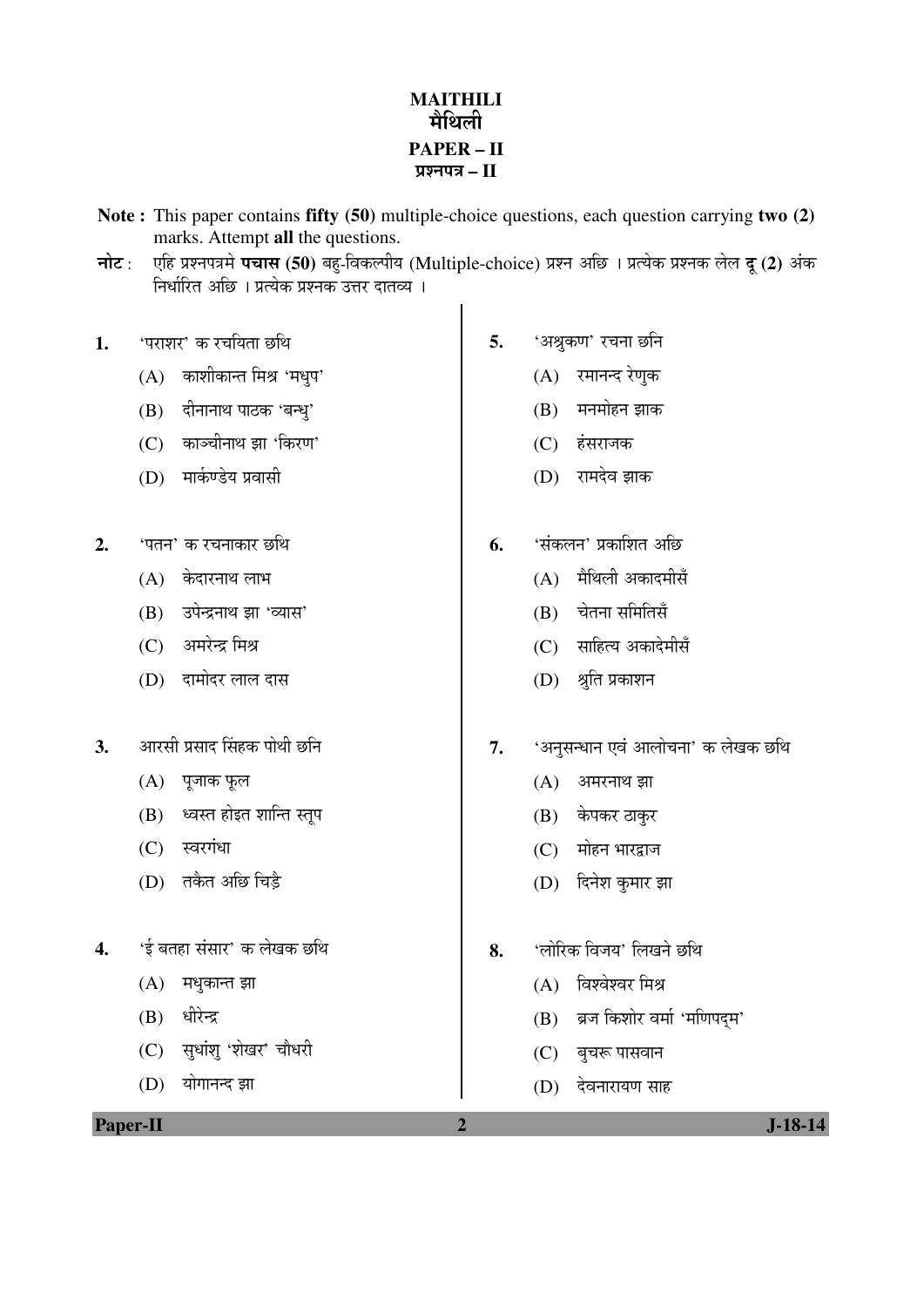## **MAITHILI**  मेधिली **PAPER – II**  ¯ÖÏ¿®Ö¯Ö¡Ö **– II**

**Note :** This paper contains **fifty (50)** multiple-choice questions, each question carrying **two (2)**  marks. Attempt **all** the questions.

**नोट**: एहि प्रश्नपत्रमे **पचास (50)** बहु-विकल्पीय (Multiple-choice) प्रश्न अछि । प्रत्येक प्रश्नक लेल **दू (2)** अंक <u>निर्धारित अछि । प्रत्येक प्रश्नक उत्तर दातव्य ।</u>

- 1. <u>'पराशर' क रचयिता</u> छथि
	- $(A)$  काशीकान्त मिश्र 'मधुप'
	- (B) दीनानाथ पाठक 'बन्ध्'
	- (C) काञ्चीनाथ झा 'किरण'
	- (D) मार्कण्डेय प्रवासी
- **2.** 'पतन' क रचनाकार छथि
	- $(A)$  केदारनाथ लाभ
	- (B) उपेन्द्रनाथ झा 'व्यास'
	- (C) अमरेन्द्र मिश्र
	- (D) दामोदर लाल दास
- **3.** †Ö¸üÃÖß ¯ÖÏÃÖÖ¤ü ØÃÖÆüÛú ¯ÖÖê£Öß "û×®Ö
	- $(A)$  पूजाक फूल
	- $(B)$  ध्वस्त होइत शान्ति स्तुप
	- (C) स्वरगंधा
	- (D) तकैत अछि चिडै
- 4. 'ई बतहा संसार' क लेखक छथि
	- $(A)$  मधुकान्त झा
	- (B) धीरेन्द्र
	- (C) सुधांशु 'शेखर' चौधरी
	- (D) योगानन्द झा
- 5. 'अश्रुकण' रचना छनि
	- (A) रमानन्द रेणुक
	- $(B)$  मनमोहन झाक
	- (C) हंसराजक
	- (D) रामदेव झाक
- **6.** 'संकलन' प्रकाशित अछि
	- $(A)$  मेथिली अकादमीसँ
	- (B) चेतना समितिसँ
	- (C) साहित्य अकादेमीसँ
	- (D) श्रुति प्रकाशन
- 7. 'अनुसन्धान एवं आलोचना' क लेखक छथि
	- $(A)$  अमरनाथ झा
	- (B) केपकर ठाकुर
	- $(C)$  मोहन भारद्वाज
	- (D) दिनेश कुमार झा
- 8. 'लोरिक विजय' लिखने छथि
	- $(A)$  विश्वेश्वर मिश्र
	- (B) ब्रज किशोर वर्मा 'मणिपदम'
	- (C) बुचरू पासवान
	- (D) देवनारायण साह

| m<br>YΑ |  |
|---------|--|
|         |  |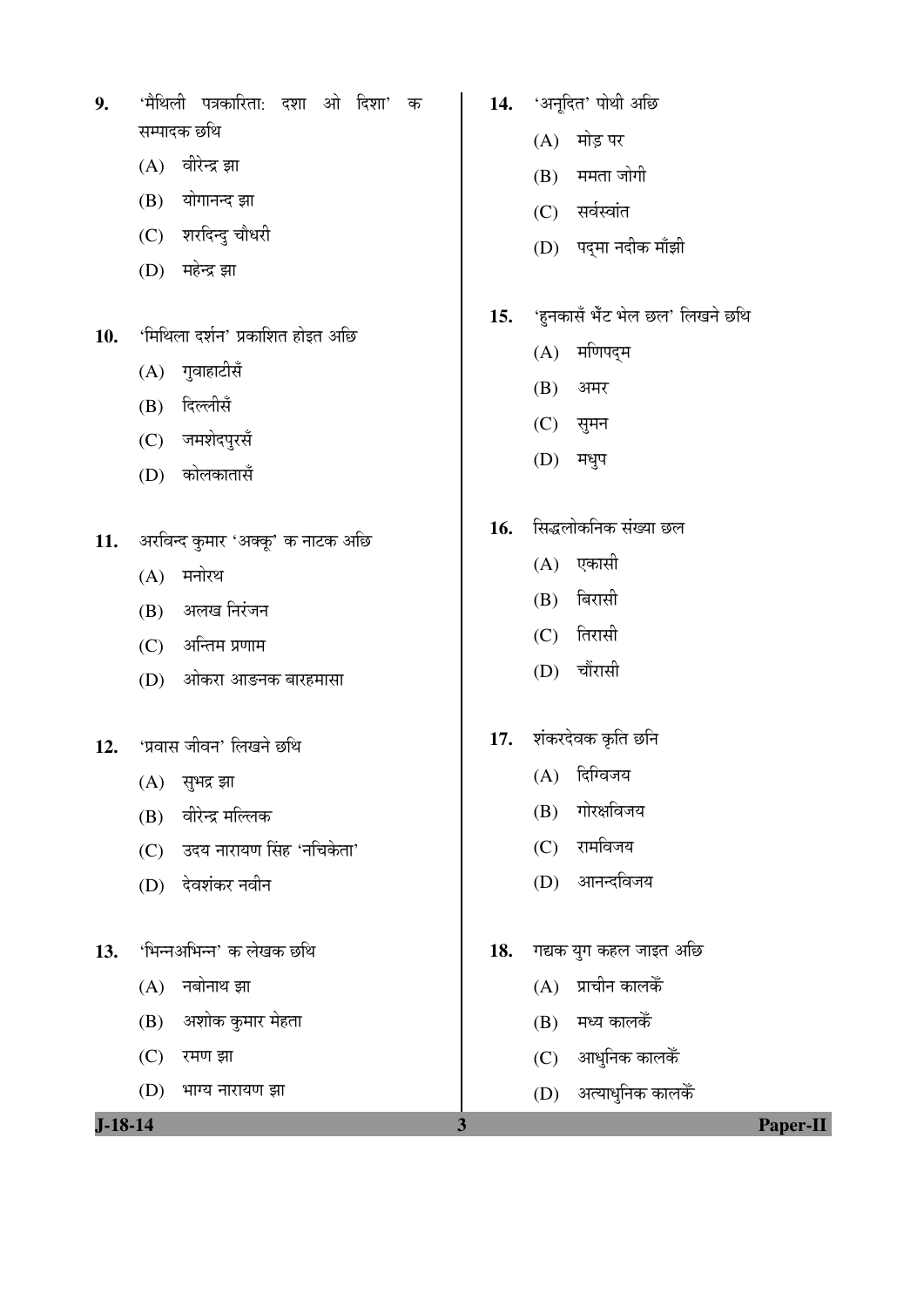| $J-18-14$ |                                                      | $\overline{\mathbf{3}}$ | <b>Paper-II</b>                 |
|-----------|------------------------------------------------------|-------------------------|---------------------------------|
|           | (D)<br>भाग्य नारायण झा                               |                         | (D) अत्याधुनिक कालकेँ           |
|           | (C)<br>रमण झा                                        |                         | (C) आधुनिक कालकें               |
|           | अशोक कुमार मेहता<br>(B)                              |                         | मध्य कालकैं<br>(B)              |
|           | नबोनाथ झा<br>(A)                                     |                         | प्राचीन कालकैं<br>(A)           |
| 13.       | 'भिन्नअभिन्न' क लेखक छथि                             | 18.                     | गद्यक युग कहल जाइत अछि          |
|           |                                                      |                         |                                 |
|           | (C)<br>देवशंकर नवीन<br>(D)                           |                         | आनन्दविजय<br>(D)                |
|           | वीरेन्द्र मल्लिक<br>(B)<br>उदय नारायण सिंह 'नचिकेता' |                         | (C) रामविजय                     |
|           | $(A)$ सुभद्र झा                                      |                         | गोरक्षविजय<br>(B)               |
| 12.       | 'प्रवास जीवन' लिखने छथि                              |                         | दिग्विजय<br>(A)                 |
|           |                                                      | 17.                     | शंकरदेवक कृति छनि               |
|           | (D)<br>ओकरा आङनक बारहमासा                            |                         | (D) चौंरासी                     |
|           | अन्तिम प्रणाम<br>(C)                                 |                         | (C) तिरासी                      |
|           | अलख निरंजन<br>(B)                                    |                         | (B) बिरासी                      |
|           | मनोरथ<br>(A)                                         |                         | (A) एकासी                       |
| 11.       | अरविन्द कुमार 'अक्कू' क नाटक अछि                     | 16.                     | सिद्धलोकनिक संख्या छल           |
|           |                                                      |                         |                                 |
|           | कोलकातासँ<br>(D)                                     |                         | (D) मधुप                        |
|           | जमशेदपुरसँ<br>(C)                                    |                         | (C) सुमन                        |
|           | दिल्लीसँ<br>(B)                                      |                         | (B)<br>अमर                      |
|           | गुवाहाटीसँ<br>(A)                                    |                         | (A) मणिपद्म                     |
| 10.       | 'मिथिला दर्शन' प्रकाशित होइत अछि                     | 15.                     | 'हुनकासँ भेँट भेल छल' लिखने छथि |
|           |                                                      |                         |                                 |
|           | महेन्द्र झा<br>(D)                                   |                         | (D) पद्मा नदीक माँझी            |
|           | योगानन्द झा<br>(B)<br>(C) शरदिन्दु चौधरी             |                         | (C) सर्वस्वांत                  |
|           | वीरेन्द्र झा<br>(A)                                  |                         | $(B)$ ममता जोगी                 |
|           |                                                      |                         |                                 |

**14.** 'अनूदित' पोथी अछि

 $\overline{\phantom{a}}$ 

 $(A)$  मोड़ पर

**9.** 'मैथिली पत्रकारिता: दशा ओ दिशा' क

सम्पादक छथि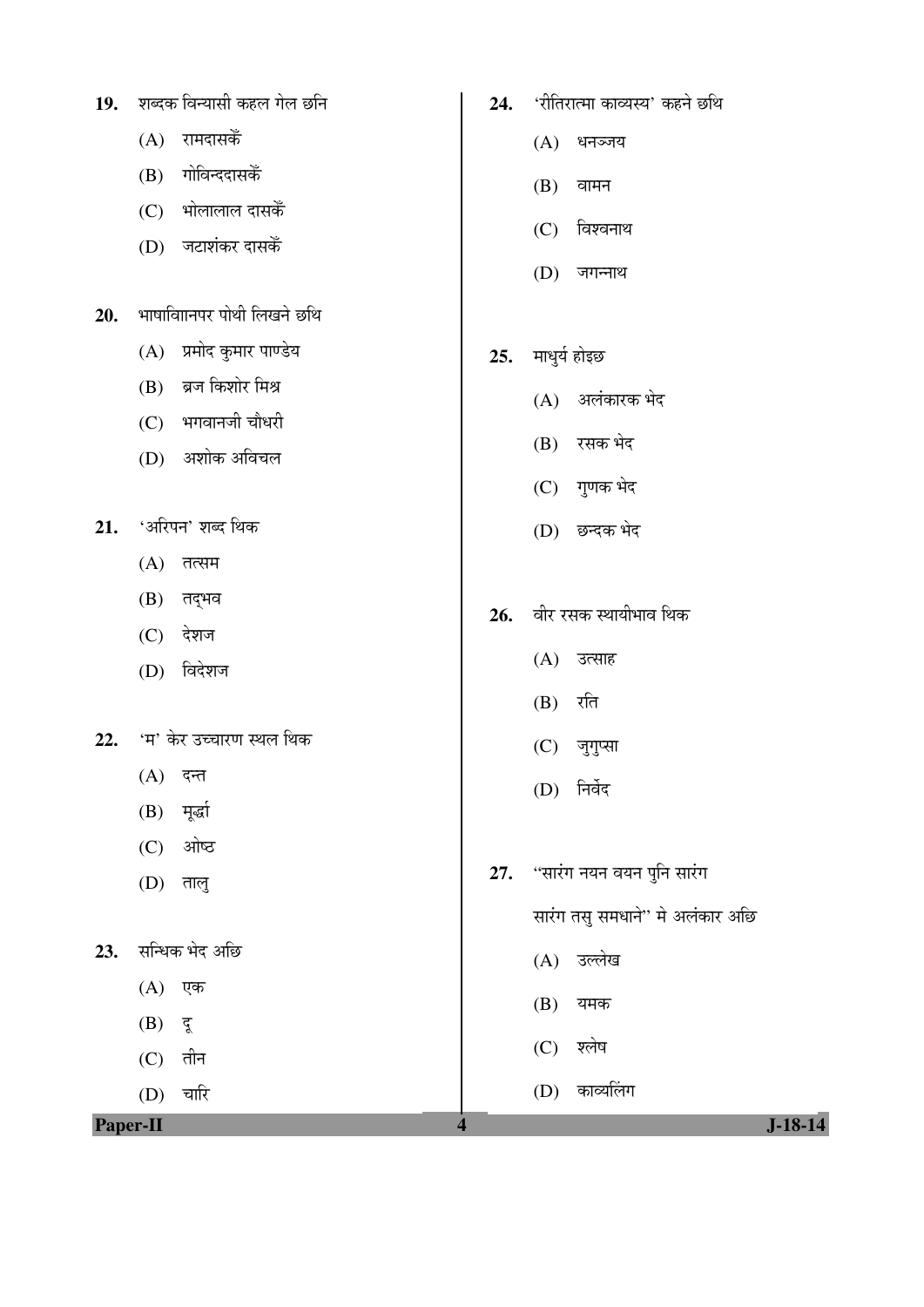|          | (A) रामदासकें               |     | $(A)$ धनञ्जय                    |
|----------|-----------------------------|-----|---------------------------------|
|          | गोविन्ददासकैं<br>(B)        |     | (B)<br>वामन                     |
|          | भोलालाल दासकेँ<br>(C)       |     | विश्वनाथ<br>(C)                 |
|          | जटाशंकर दासकें<br>(D)       |     |                                 |
|          |                             |     | (D)<br>जगन्नाथ                  |
| 20.      | भाषाविाानपर पोथी लिखने छथि  |     |                                 |
|          | प्रमोद कुमार पाण्डेय<br>(A) | 25. | माधुर्य होइछ                    |
|          | ब्रज किशोर मिश्र<br>(B)     |     | (A) अलंकारक भेद                 |
|          | $(C)$ भगवानजी चौधरी         |     |                                 |
|          | (D) अशोक अविचल              |     | (B) रसक भेद                     |
|          |                             |     | (C) गुणक भेद                    |
| 21.      | 'अरिपन' शब्द थिक            |     | (D) छन्दक भेद                   |
|          | (A)<br>तत्सम                |     |                                 |
|          | तद्भव<br>(B)                | 26. | वीर रसक स्थायीभाव थिक           |
|          | देशज<br>(C)                 |     |                                 |
|          | विदेशज<br>(D)               |     | (A) उत्साह                      |
|          |                             |     | $(B)$ रति                       |
| 22.      | 'म' केर उच्चारण स्थल थिक    |     | (C) जुगुप्सा                    |
|          | $(A)$ दन्त                  |     | निर्वेद<br>(D)                  |
|          | (B) मूर्खा                  |     |                                 |
|          | ओष्ठ<br>(C)                 |     |                                 |
|          | (D)<br>तालु                 | 27. | ''सारंग नयन वयन पुनि सारंग      |
|          |                             |     | सारंग तसु समधाने" मे अलंकार अछि |
| 23.      | सन्धिक भेद अछि              |     | (A) उल्लेख                      |
|          | (A)<br>एक                   |     | (B)<br>यमक                      |
|          | (B)<br>दू                   |     |                                 |
|          | तीन<br>(C)                  |     | श्लेष<br>(C)                    |
|          | चारि<br>(D)                 |     | (D) काव्यलिंग                   |
| Paper-II |                             | 4   | $J-18-14$                       |

 $\overline{\phantom{a}}$ 

**24.** 'रीतिरात्मा काव्यस्य' कहने छथि

19. शब्दक विन्यासी कहल गेल छनि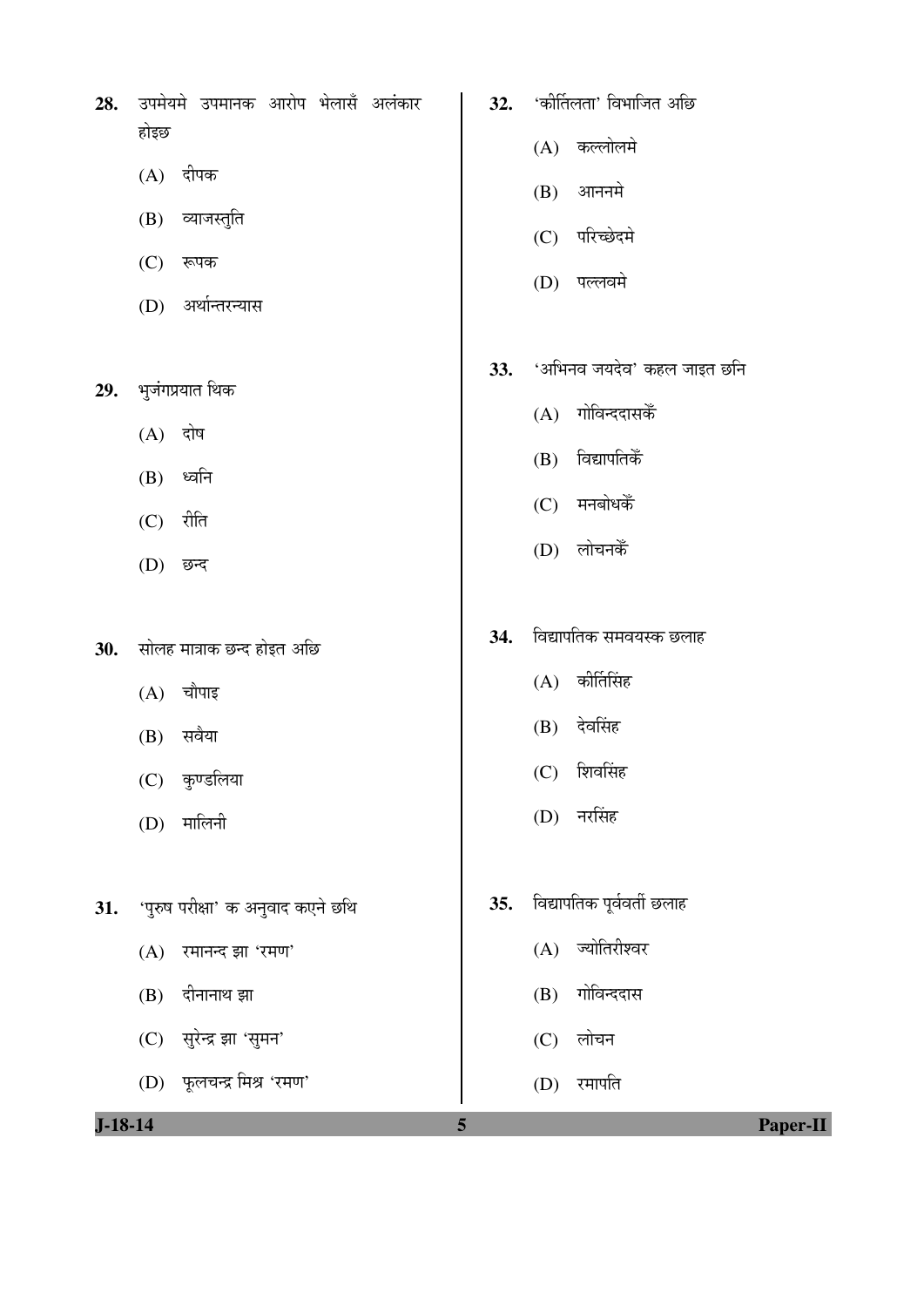|      | <b>28.</b> उपमेयमे उपमानक आरोप भेलासँ अलंकार |  |  |
|------|----------------------------------------------|--|--|
| होइछ |                                              |  |  |

- $(A)$  दीपक
- (B) व्याजस्तुति
- $(C)$  रूपक
- (D) अर्थान्तरन्यास
- 29. भुजंगप्रयात थिक
	- $(A)$  दोष
	- $(B)$  ध्वनि
	- $(C)$  रीति
	- (D) छन्द
- 30. सोलह मात्राक छन्द होइत अछि
	- $(A)$  चौपाइ
	- $(B)$  सवैया
	- (C) कुण्डलिया
	- (D) मालिनी
- 31. 'पुरुष परीक्षा' क अनुवाद कएने छथि
	- $(A)$  रमानन्द झा 'रमण'
	- $(B)$  दीनानाथ झा
	- (C) सुरेन्द्र झा 'सुमन'
	-
	- (D) फूलचन्द्र मिश्र 'रमण'
- 32. 'कीर्तिलता' विभाजित अछि
	- (A) कल्लोलमे
	- $(B)$  आननमे
	- (C) परिच्छेदमे
	- (D) पल्लवमे
- 33. 'अभिनव जयदेव' कहल जाइत छनि
	- $(A)$  गोविन्ददासकेँ
	- $(B)$  विद्यापतिकैं
	- $(C)$  मनबोधकैं
	- (D) लोचनकें
- 34. विद्यापतिक समवयस्क छलाह
	- $(A)$  कीर्तिसिंह
	- (B) देवसिंह
	- $(C)$  शिवसिंह
	- $(D)$  नरसिंह
- 35. विद्यापतिक पूर्ववर्ती छलाह
	- $(A)$  ज्योतिरीश्वर
	- (B) गोविन्ददास
	- $(C)$  लोचन
	- (D) रमापति
- 

**J-18-14 5 Paper-II**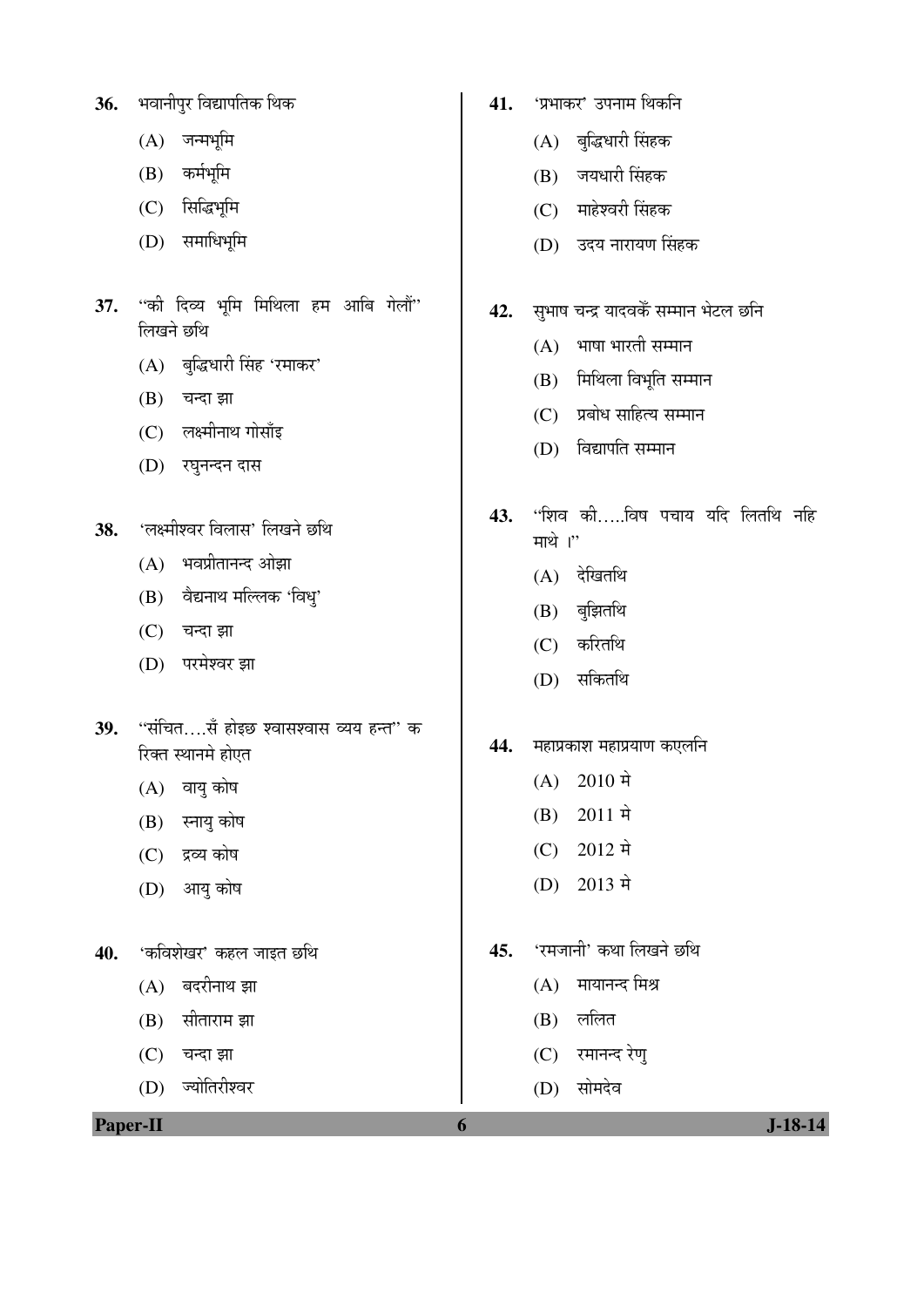|     | जन्मभूमि<br>(A)                                                                                                               |     | बुद्धिधारी सिंहक<br>(A)                                                                                                                                    |
|-----|-------------------------------------------------------------------------------------------------------------------------------|-----|------------------------------------------------------------------------------------------------------------------------------------------------------------|
|     | कर्मभूमि<br>(B)                                                                                                               |     | जयधारी सिंहक<br>(B)                                                                                                                                        |
|     | सिद्धिभूमि<br>(C)                                                                                                             |     | माहेश्वरी सिंहक<br>(C)                                                                                                                                     |
|     | समाधिभूमि<br>(D)                                                                                                              |     | उदय नारायण सिंहक<br>(D)                                                                                                                                    |
| 37. | ''की दिव्य भूमि मिथिला हम आबि गेलौं''<br>लिखने छथि<br>(A) बुद्धिधारी सिंह 'रमाकर'<br>(B)<br>चन्दा झा<br>(C) लक्ष्मीनाथ गोसाँइ | 42. | सुभाष चन्द्र यादवकेँ सम्मान भेटल छनि<br>भाषा भारती सम्मान<br>(A)<br>मिथिला विभूति सम्मान<br>(B)<br>प्रबोध साहित्य सम्मान<br>(C)<br>विद्यापति सम्मान<br>(D) |
|     | (D)<br>रघुनन्दन दास                                                                                                           |     |                                                                                                                                                            |
| 38. | 'लक्ष्मीश्वर विलास' लिखने छथि                                                                                                 | 43. | ''शिव कीविष पचाय यदि लितथि नहि<br>माथे ।"                                                                                                                  |
|     | भवप्रीतानन्द ओझा<br>(A)                                                                                                       |     | देखितथि<br>(A)                                                                                                                                             |
|     | (B) वैद्यनाथ मल्लिक 'विधु'                                                                                                    |     | बुझितथि<br>(B)                                                                                                                                             |
|     | (C) चन्दा झा                                                                                                                  |     | करितथि<br>(C)                                                                                                                                              |
|     | परमेश्वर झा<br>(D)                                                                                                            |     | सकितथि<br>(D)                                                                                                                                              |
| 39. | ''संचित….सँ होइछ श्वासश्वास व्यय हन्त'' क<br>रिक्त स्थानमे होएत                                                               | 44. | महाप्रकाश महाप्रयाण कएलनि<br>$2010 \; \vec{r}$<br>(A)                                                                                                      |
|     | (A) वायु कोष                                                                                                                  |     | $2011 \;$ मे<br>(B)                                                                                                                                        |
|     | (B) स्नायु कोष                                                                                                                |     | $2012 \;$ मे<br>(C)                                                                                                                                        |
|     | द्रव्य कोष<br>(C)<br>आयु कोष<br>(D)                                                                                           |     | 2013 मे<br>(D)                                                                                                                                             |
| 40. | 'कविशेखर' कहल जाइत छथि                                                                                                        | 45. | 'रमजानी' कथा लिखने छथि                                                                                                                                     |
|     | बदरीनाथ झा<br>(A)                                                                                                             |     | मायानन्द मिश्र<br>(A)                                                                                                                                      |
|     | सीताराम झा<br>(B)                                                                                                             |     | ललित<br>(B)                                                                                                                                                |
|     | (C)<br>चन्दा झा                                                                                                               |     | (C) रमानन्द रेणु                                                                                                                                           |
|     | ज्योतिरीश्वर<br>(D)                                                                                                           |     | सोमदेव<br>(D)                                                                                                                                              |
|     |                                                                                                                               |     |                                                                                                                                                            |

 $\overline{\phantom{a}}$ 

41. 'प्रभाकर' उपनाम थिकनि

**36.** भवानीपुर विद्यापतिक थिक

**Paper-II 6 J-18-14**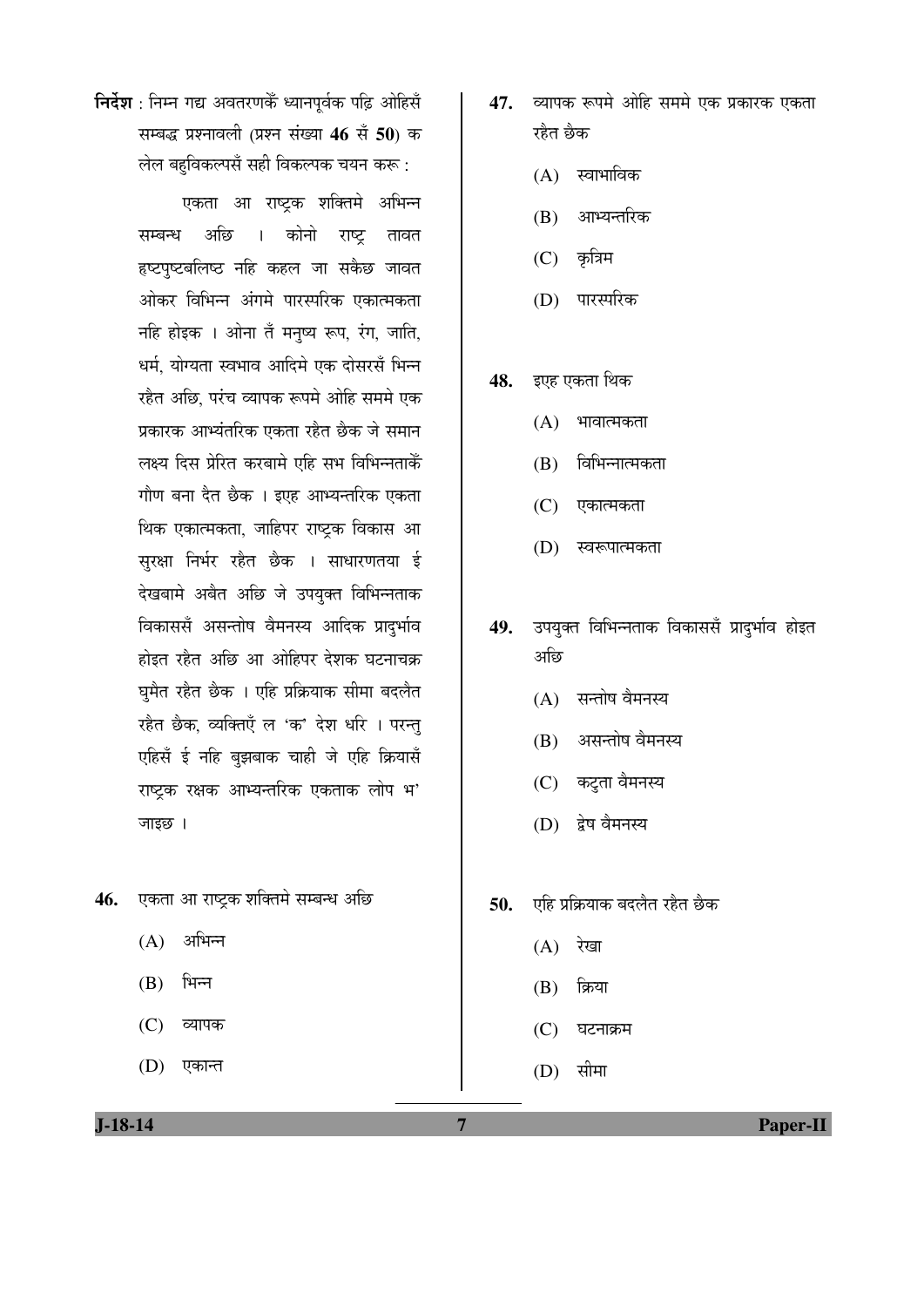**निर्देश**: निम्न गद्य अवतरणकैं ध्यानपूर्वक पढ़ि ओहिसँ सम्बद्ध प्रश्नावली (प्रश्न संख्या 46 सें 50) क लेल बहविकल्पसँ सही विकल्पक चयन करू:

> एकता आ राष्ट्रक शक्तिमे अभिन्न सम्बन्ध अछि । कोनो राष्ट्र तावत हष्टपुष्टबलिष्ठ नहि कहल जा सकैछ जावत ओकर विभिन्न अंगमे पारस्परिक एकात्मकता नहि होइक । ओना तँ मनुष्य रूप, रंग, जाति, धर्म, योग्यता स्वभाव आदिमे एक दोसरसँ भिन्न रहैत अछि, परंच व्यापक रूपमे ओहि सममे एक प्रकारक आभ्यंतरिक एकता रहैत छैक जे समान लक्ष्य दिस प्रेरित करबामे एहि सभ विभिन्नताकेँ गौण बना दैत छैक । इएह आभ्यन्तरिक एकता थिक एकात्मकता, जाहिपर राष्ट्रक विकास आ सुरक्षा निर्भर रहेत छैक । साधारणतया ई देखबामे अबैत अछि जे उपयुक्त विभिन्नताक विकाससँ असन्तोष वैमनस्य आदिक प्रादुर्भाव होइत रहेत अछि आ ओहिपर देशक घटनाचक्र घुमैत रहैत छैक । एहि प्रक्रियाक सीमा बदलैत रहैत छैक, व्यक्तिएँ ल 'क' देश धरि । परन्तु एहिसँ ई नहि बुझबाक चाही जे एहि क्रियासँ राष्ट्रक रक्षक आभ्यन्तरिक एकताक लोप भ' जाइछ ।

- 46. **एकता आ राष्ट्रक शक्तिमे सम्बन्ध** अछि
	- $(A)$  अभिन्न
	- $(B)$  भिन्न
	- (C) व्यापक
	- (D) एकान्त
- 47. व्यापक रूपमे ओहि सममे एक प्रकारक एकता रहैत छैक
	- $(A)$  स्वाभाविक
	- (B) आभ्यन्तरिक
	- $(C)$  कृत्रिम
	- (D) पारस्परिक
- 48. इएह एकता थिक
	- $(A)$  भावात्मकता
	- $(B)$  विभिन्नात्मकता
	- (C) एकात्मकता
	- (D) स्वरूपात्मकता
- 49. उपयुक्त विभिन्नताक विकाससँ प्रादुर्भाव होइत आेई
	- $(A)$  सन्तोष वैमनस्य
	- (B) असन्तोष वैमनस्य
	- (C) कटुता वैमनस्य
	- (D) द्वेष वैमनस्य
- 50. **एहि प्रक्रियाक बदलैत रहैत** छैक
	- $(A)$  रेखा
	- $(B)$  क्रिया
	- $(C)$  घटनाक्रम
	- $(D)$  सीमा